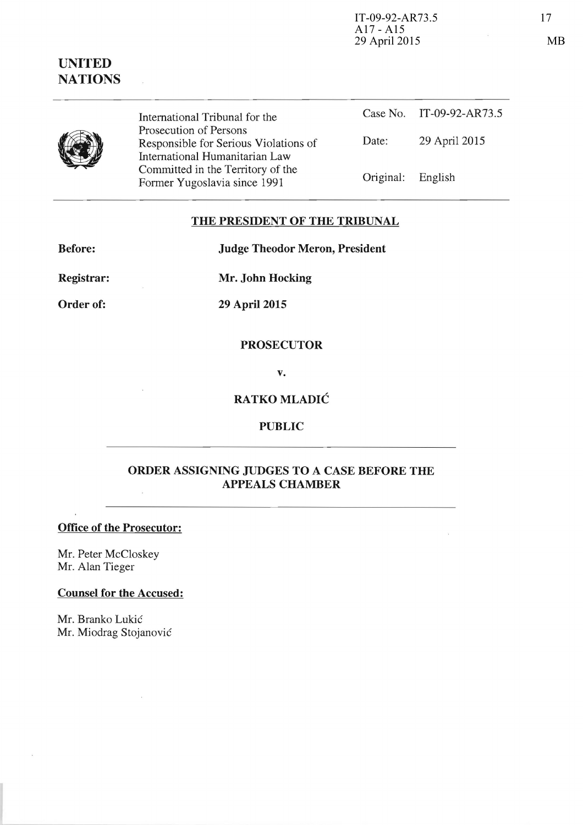IT-09-92-AR73.5 17 A17 - A15 29 April 2015 MB

# **UNITED NATIONS**

International Tribunal for the Prosecution of Persons Responsible for Serious Violations of International Humanitarian Law Committed in the Territory of the Former Yugoslavia since 1991

|                   | Case No. IT-09-92-AR73.5 |
|-------------------|--------------------------|
| Date:             | 29 April 2015            |
| Original: English |                          |

## **THE PRESIDENT OF THE TRIBUNAL**

**Before: Judge Theodor Meron, President** 

**Registrar: Mr. John Hocking** 

**Order of: 29 April 2015** 

## **PROSECUTOR**

**v.** 

## **RATKO MLADIC**

## **PUBLIC**

## **ORDER ASSIGNING JUDGES TO A CASE BEFORE THE APPEALS CHAMBER**

## **Office of the Prosecutor:**

Mr. Peter McCloskey Mr. Alan Tieger

#### **Counsel for the Accused:**

Mr. Branko Lukic Mr. Miodrag Stojanovic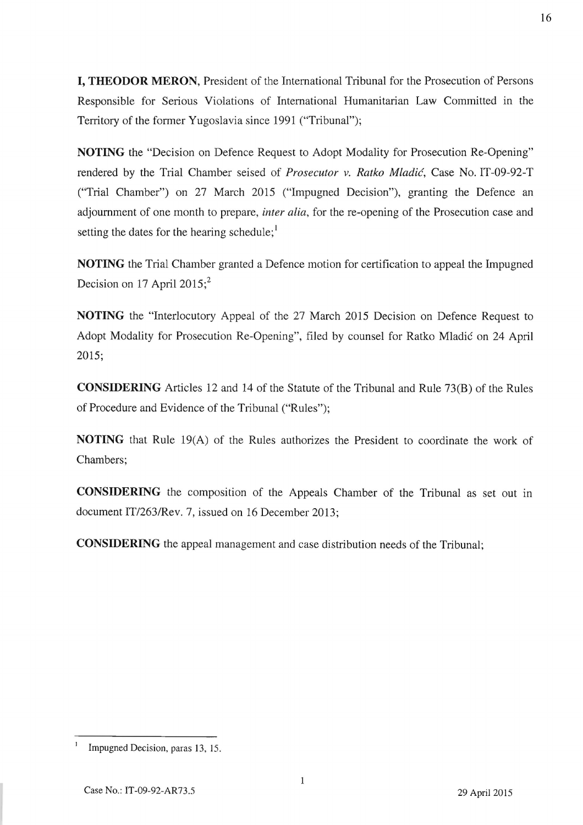**I, THEODOR MERON,** President of the International Tribunal for the Prosecution of Persons Responsible for Serious Violations of International Humanitarian Law Committed in the Territory of the former Yugoslavia since 1991 ("Tribunal");

**NOTING** the "Decision on Defence Request to Adopt Modality for Prosecution Re-Opening" rendered by the Trial Chamber seised of *Prosecutor v. Ratko Mladic,* Case No. IT-09-92-T ("Trial Chamber") on 27 March 2015 ("Impugned Decision"), granting the Defence an adjournment of one month to prepare, *inter alia,* for the re-opening of the Prosecution case and setting the dates for the hearing schedule; $<sup>1</sup>$ </sup>

**NOTING** the Trial Chamber granted a Defence motion for certification to appeal the Impugned Decision on 17 April 2015; $^2$ 

**NOTING** the "Interlocutory Appeal of the 27 March 2015 Decision on Defence Request to Adopt Modality for Prosecution Re-Opening", filed by counsel for Ratko Mladic on 24 April 2015;

**CONSIDERING** Articles 12 and 14 of the Statute of the Tribunal and Rule 73(B) of the Rules of Procedure and Evidence of the Tribunal ("Rules");

**NOTING** that Rule 19(A) of the Rules authorizes the President to coordinate the work of Chambers;

**CONSIDERING** the composition of the Appeals Chamber of the Tribunal as set out in document *IT/2631Rev.* 7, issued on 16 December 2013;

**CONSIDERING** the appeal management and case distribution needs of the Tribunal;

Impugned Decision, paras 13, 15.